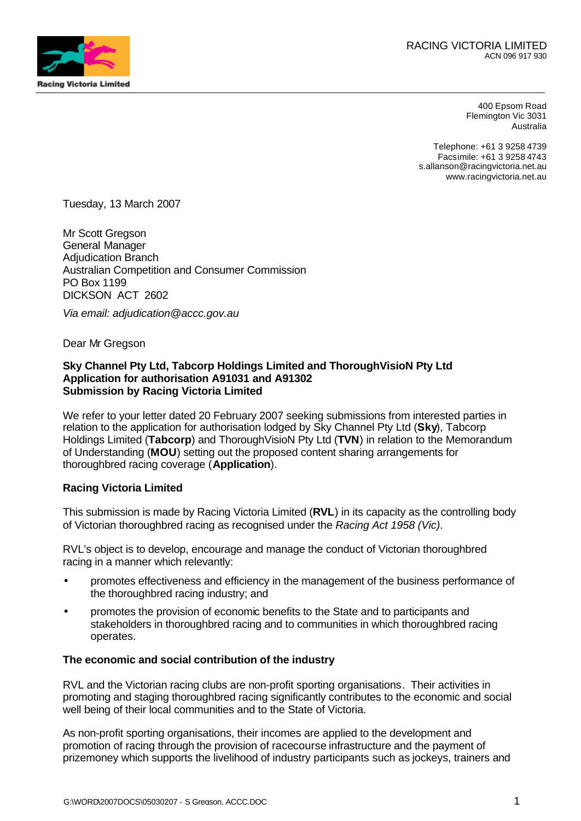

400 Epsom Road Flemington Vic 3031 Australia

Telephone: +61 3 9258 4739 Facsimile: +61 3 9258 4743 s.allanson@racingvictoria.net.au www.racingvictoria.net.au

Tuesday, 13 March 2007

Mr Scott Gregson General Manager Adjudication Branch Australian Competition and Consumer Commission PO Box 1199 DICKSON ACT 2602

*Via email: adjudication@accc.gov.au*

Dear Mr Gregson

## **Sky Channel Pty Ltd, Tabcorp Holdings Limited and ThoroughVisioN Pty Ltd Application for authorisation A91031 and A91302 Submission by Racing Victoria Limited**

We refer to your letter dated 20 February 2007 seeking submissions from interested parties in relation to the application for authorisation lodged by Sky Channel Pty Ltd (**Sky**), Tabcorp Holdings Limited (**Tabcorp**) and ThoroughVisioN Pty Ltd (**TVN**) in relation to the Memorandum of Understanding (**MOU**) setting out the proposed content sharing arrangements for thoroughbred racing coverage (**Application**).

#### **Racing Victoria Limited**

This submission is made by Racing Victoria Limited (**RVL**) in its capacity as the controlling body of Victorian thoroughbred racing as recognised under the *Racing Act 1958 (Vic)*.

RVL's object is to develop, encourage and manage the conduct of Victorian thoroughbred racing in a manner which relevantly:

- promotes effectiveness and efficiency in the management of the business performance of the thoroughbred racing industry; and
- promotes the provision of economic benefits to the State and to participants and stakeholders in thoroughbred racing and to communities in which thoroughbred racing operates.

#### **The economic and social contribution of the industry**

RVL and the Victorian racing clubs are non-profit sporting organisations. Their activities in promoting and staging thoroughbred racing significantly contributes to the economic and social well being of their local communities and to the State of Victoria.

As non-profit sporting organisations, their incomes are applied to the development and promotion of racing through the provision of racecourse infrastructure and the payment of prizemoney which supports the livelihood of industry participants such as jockeys, trainers and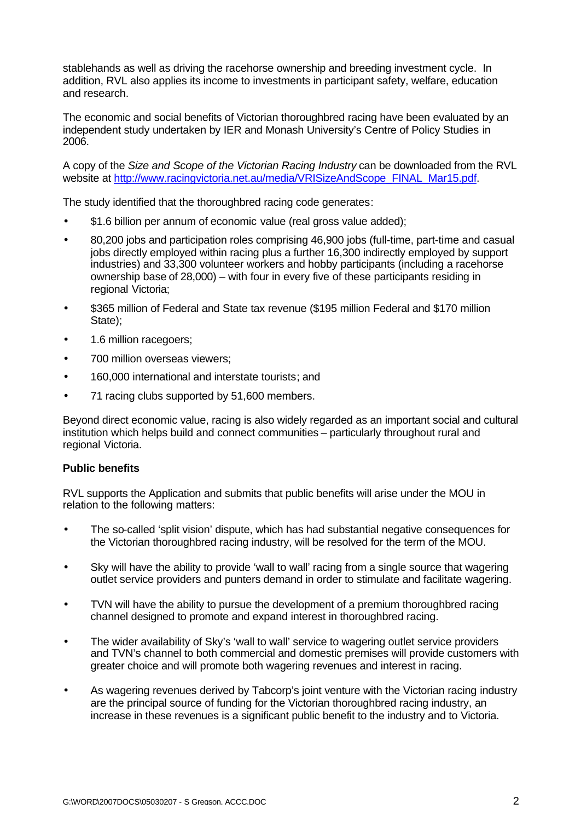stablehands as well as driving the racehorse ownership and breeding investment cycle. In addition, RVL also applies its income to investments in participant safety, welfare, education and research.

The economic and social benefits of Victorian thoroughbred racing have been evaluated by an independent study undertaken by IER and Monash University's Centre of Policy Studies in 2006.

A copy of the *Size and Scope of the Victorian Racing Industry* can be downloaded from the RVL website at http://www.racingvictoria.net.au/media/VRISizeAndScope\_FINAL\_Mar15.pdf.

The study identified that the thoroughbred racing code generates:

- \$1.6 billion per annum of economic value (real gross value added);
- 80,200 jobs and participation roles comprising 46,900 jobs (full-time, part-time and casual jobs directly employed within racing plus a further 16,300 indirectly employed by support industries) and 33,300 volunteer workers and hobby participants (including a racehorse ownership base of 28,000) – with four in every five of these participants residing in regional Victoria;
- \$365 million of Federal and State tax revenue (\$195 million Federal and \$170 million State);
- 1.6 million racegoers;
- 700 million overseas viewers:
- 160,000 international and interstate tourists; and
- 71 racing clubs supported by 51,600 members.

Beyond direct economic value, racing is also widely regarded as an important social and cultural institution which helps build and connect communities – particularly throughout rural and regional Victoria.

## **Public benefits**

RVL supports the Application and submits that public benefits will arise under the MOU in relation to the following matters:

- The so-called 'split vision' dispute, which has had substantial negative consequences for the Victorian thoroughbred racing industry, will be resolved for the term of the MOU.
- Sky will have the ability to provide 'wall to wall' racing from a single source that wagering outlet service providers and punters demand in order to stimulate and facilitate wagering.
- TVN will have the ability to pursue the development of a premium thoroughbred racing channel designed to promote and expand interest in thoroughbred racing.
- The wider availability of Sky's 'wall to wall' service to wagering outlet service providers and TVN's channel to both commercial and domestic premises will provide customers with greater choice and will promote both wagering revenues and interest in racing.
- As wagering revenues derived by Tabcorp's joint venture with the Victorian racing industry are the principal source of funding for the Victorian thoroughbred racing industry, an increase in these revenues is a significant public benefit to the industry and to Victoria.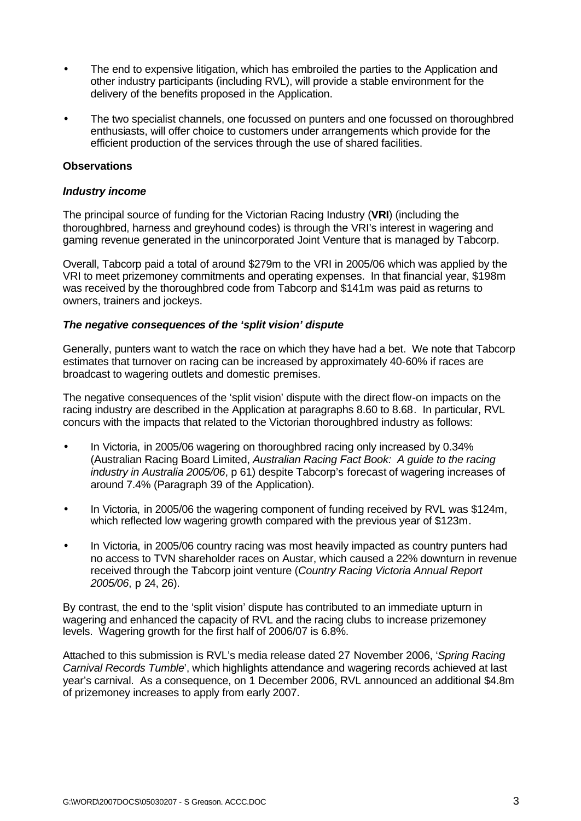- The end to expensive litigation, which has embroiled the parties to the Application and other industry participants (including RVL), will provide a stable environment for the delivery of the benefits proposed in the Application.
- The two specialist channels, one focussed on punters and one focussed on thoroughbred enthusiasts, will offer choice to customers under arrangements which provide for the efficient production of the services through the use of shared facilities.

## **Observations**

## *Industry income*

The principal source of funding for the Victorian Racing Industry (**VRI**) (including the thoroughbred, harness and greyhound codes) is through the VRI's interest in wagering and gaming revenue generated in the unincorporated Joint Venture that is managed by Tabcorp.

Overall, Tabcorp paid a total of around \$279m to the VRI in 2005/06 which was applied by the VRI to meet prizemoney commitments and operating expenses. In that financial year, \$198m was received by the thoroughbred code from Tabcorp and \$141m was paid as returns to owners, trainers and jockeys.

## *The negative consequences of the 'split vision' dispute*

Generally, punters want to watch the race on which they have had a bet. We note that Tabcorp estimates that turnover on racing can be increased by approximately 40-60% if races are broadcast to wagering outlets and domestic premises.

The negative consequences of the 'split vision' dispute with the direct flow-on impacts on the racing industry are described in the Application at paragraphs 8.60 to 8.68. In particular, RVL concurs with the impacts that related to the Victorian thoroughbred industry as follows:

- In Victoria, in 2005/06 wagering on thoroughbred racing only increased by 0.34% (Australian Racing Board Limited, *Australian Racing Fact Book: A guide to the racing industry in Australia 2005/06*, p 61) despite Tabcorp's forecast of wagering increases of around 7.4% (Paragraph 39 of the Application).
- In Victoria, in 2005/06 the wagering component of funding received by RVL was \$124m, which reflected low wagering growth compared with the previous year of \$123m.
- In Victoria, in 2005/06 country racing was most heavily impacted as country punters had no access to TVN shareholder races on Austar, which caused a 22% downturn in revenue received through the Tabcorp joint venture (*Country Racing Victoria Annual Report 2005/06*, p 24, 26).

By contrast, the end to the 'split vision' dispute has contributed to an immediate upturn in wagering and enhanced the capacity of RVL and the racing clubs to increase prizemoney levels. Wagering growth for the first half of 2006/07 is 6.8%.

Attached to this submission is RVL's media release dated 27 November 2006, '*Spring Racing Carnival Records Tumble*', which highlights attendance and wagering records achieved at last year's carnival. As a consequence, on 1 December 2006, RVL announced an additional \$4.8m of prizemoney increases to apply from early 2007.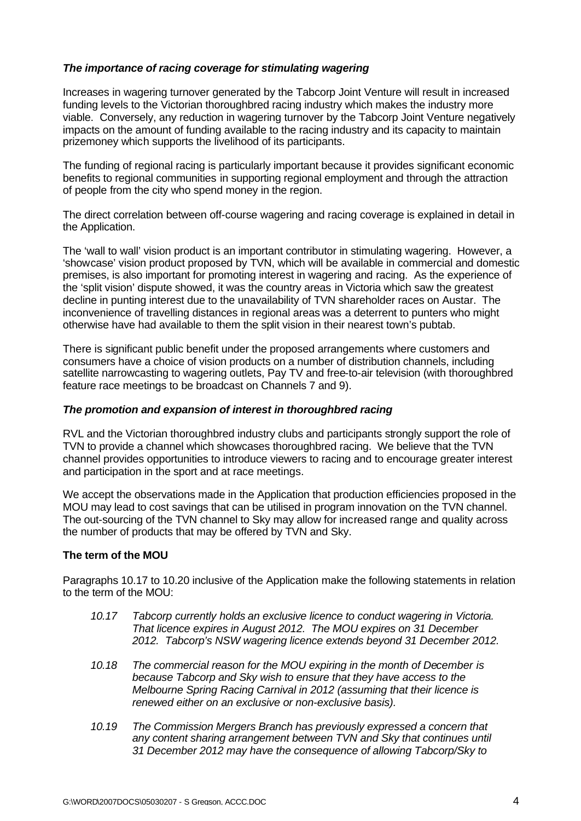# *The importance of racing coverage for stimulating wagering*

Increases in wagering turnover generated by the Tabcorp Joint Venture will result in increased funding levels to the Victorian thoroughbred racing industry which makes the industry more viable. Conversely, any reduction in wagering turnover by the Tabcorp Joint Venture negatively impacts on the amount of funding available to the racing industry and its capacity to maintain prizemoney which supports the livelihood of its participants.

The funding of regional racing is particularly important because it provides significant economic benefits to regional communities in supporting regional employment and through the attraction of people from the city who spend money in the region.

The direct correlation between off-course wagering and racing coverage is explained in detail in the Application.

The 'wall to wall' vision product is an important contributor in stimulating wagering. However, a 'showcase' vision product proposed by TVN, which will be available in commercial and domestic premises, is also important for promoting interest in wagering and racing. As the experience of the 'split vision' dispute showed, it was the country areas in Victoria which saw the greatest decline in punting interest due to the unavailability of TVN shareholder races on Austar. The inconvenience of travelling distances in regional areas was a deterrent to punters who might otherwise have had available to them the split vision in their nearest town's pubtab.

There is significant public benefit under the proposed arrangements where customers and consumers have a choice of vision products on a number of distribution channels, including satellite narrowcasting to wagering outlets, Pay TV and free-to-air television (with thoroughbred feature race meetings to be broadcast on Channels 7 and 9).

## *The promotion and expansion of interest in thoroughbred racing*

RVL and the Victorian thoroughbred industry clubs and participants strongly support the role of TVN to provide a channel which showcases thoroughbred racing. We believe that the TVN channel provides opportunities to introduce viewers to racing and to encourage greater interest and participation in the sport and at race meetings.

We accept the observations made in the Application that production efficiencies proposed in the MOU may lead to cost savings that can be utilised in program innovation on the TVN channel. The out-sourcing of the TVN channel to Sky may allow for increased range and quality across the number of products that may be offered by TVN and Sky.

## **The term of the MOU**

Paragraphs 10.17 to 10.20 inclusive of the Application make the following statements in relation to the term of the MOU:

- *10.17 Tabcorp currently holds an exclusive licence to conduct wagering in Victoria. That licence expires in August 2012. The MOU expires on 31 December 2012. Tabcorp's NSW wagering licence extends beyond 31 December 2012.*
- *10.18 The commercial reason for the MOU expiring in the month of December is because Tabcorp and Sky wish to ensure that they have access to the Melbourne Spring Racing Carnival in 2012 (assuming that their licence is renewed either on an exclusive or non-exclusive basis).*
- *10.19 The Commission Mergers Branch has previously expressed a concern that any content sharing arrangement between TVN and Sky that continues until 31 December 2012 may have the consequence of allowing Tabcorp/Sky to*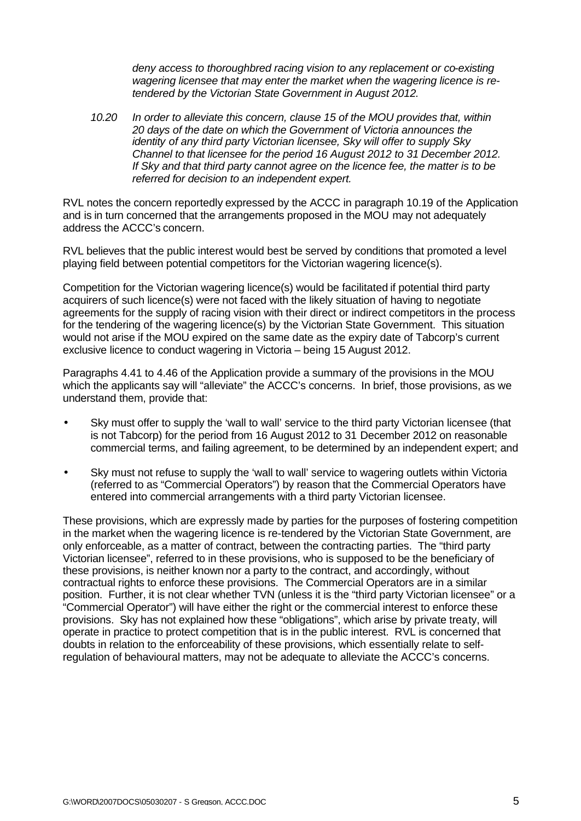*deny access to thoroughbred racing vision to any replacement or co-existing wagering licensee that may enter the market when the wagering licence is retendered by the Victorian State Government in August 2012.*

*10.20 In order to alleviate this concern, clause 15 of the MOU provides that, within 20 days of the date on which the Government of Victoria announces the identity of any third party Victorian licensee, Sky will offer to supply Sky Channel to that licensee for the period 16 August 2012 to 31 December 2012. If Sky and that third party cannot agree on the licence fee, the matter is to be referred for decision to an independent expert.*

RVL notes the concern reportedly expressed by the ACCC in paragraph 10.19 of the Application and is in turn concerned that the arrangements proposed in the MOU may not adequately address the ACCC's concern.

RVL believes that the public interest would best be served by conditions that promoted a level playing field between potential competitors for the Victorian wagering licence(s).

Competition for the Victorian wagering licence(s) would be facilitated if potential third party acquirers of such licence(s) were not faced with the likely situation of having to negotiate agreements for the supply of racing vision with their direct or indirect competitors in the process for the tendering of the wagering licence(s) by the Victorian State Government. This situation would not arise if the MOU expired on the same date as the expiry date of Tabcorp's current exclusive licence to conduct wagering in Victoria – being 15 August 2012.

Paragraphs 4.41 to 4.46 of the Application provide a summary of the provisions in the MOU which the applicants say will "alleviate" the ACCC's concerns. In brief, those provisions, as we understand them, provide that:

- Sky must offer to supply the 'wall to wall' service to the third party Victorian licensee (that is not Tabcorp) for the period from 16 August 2012 to 31 December 2012 on reasonable commercial terms, and failing agreement, to be determined by an independent expert; and
- Sky must not refuse to supply the 'wall to wall' service to wagering outlets within Victoria (referred to as "Commercial Operators") by reason that the Commercial Operators have entered into commercial arrangements with a third party Victorian licensee.

These provisions, which are expressly made by parties for the purposes of fostering competition in the market when the wagering licence is re-tendered by the Victorian State Government, are only enforceable, as a matter of contract, between the contracting parties. The "third party Victorian licensee", referred to in these provisions, who is supposed to be the beneficiary of these provisions, is neither known nor a party to the contract, and accordingly, without contractual rights to enforce these provisions. The Commercial Operators are in a similar position. Further, it is not clear whether TVN (unless it is the "third party Victorian licensee" or a "Commercial Operator") will have either the right or the commercial interest to enforce these provisions. Sky has not explained how these "obligations", which arise by private treaty, will operate in practice to protect competition that is in the public interest. RVL is concerned that doubts in relation to the enforceability of these provisions, which essentially relate to selfregulation of behavioural matters, may not be adequate to alleviate the ACCC's concerns.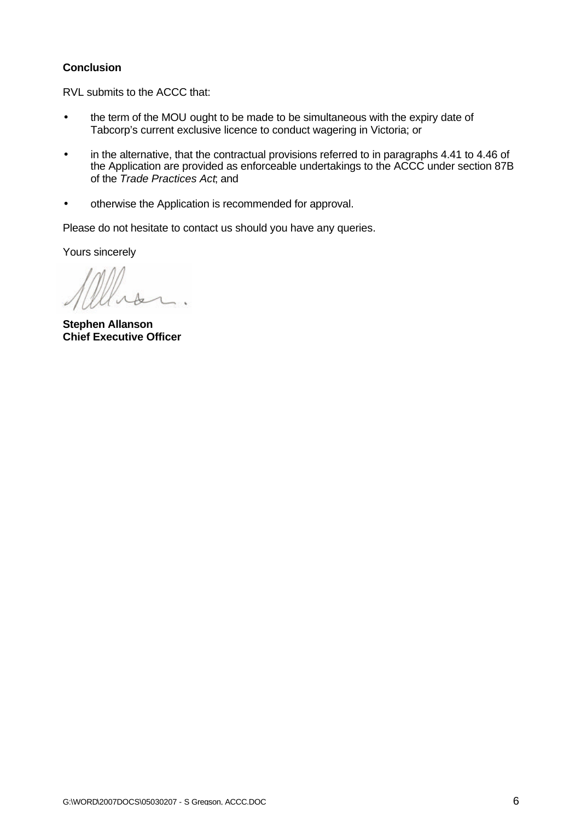# **Conclusion**

RVL submits to the ACCC that:

- the term of the MOU ought to be made to be simultaneous with the expiry date of Tabcorp's current exclusive licence to conduct wagering in Victoria; or
- in the alternative, that the contractual provisions referred to in paragraphs 4.41 to 4.46 of the Application are provided as enforceable undertakings to the ACCC under section 87B of the *Trade Practices Act*; and
- otherwise the Application is recommended for approval.

Please do not hesitate to contact us should you have any queries.

Yours sincerely

**Stephen Allanson Chief Executive Officer**